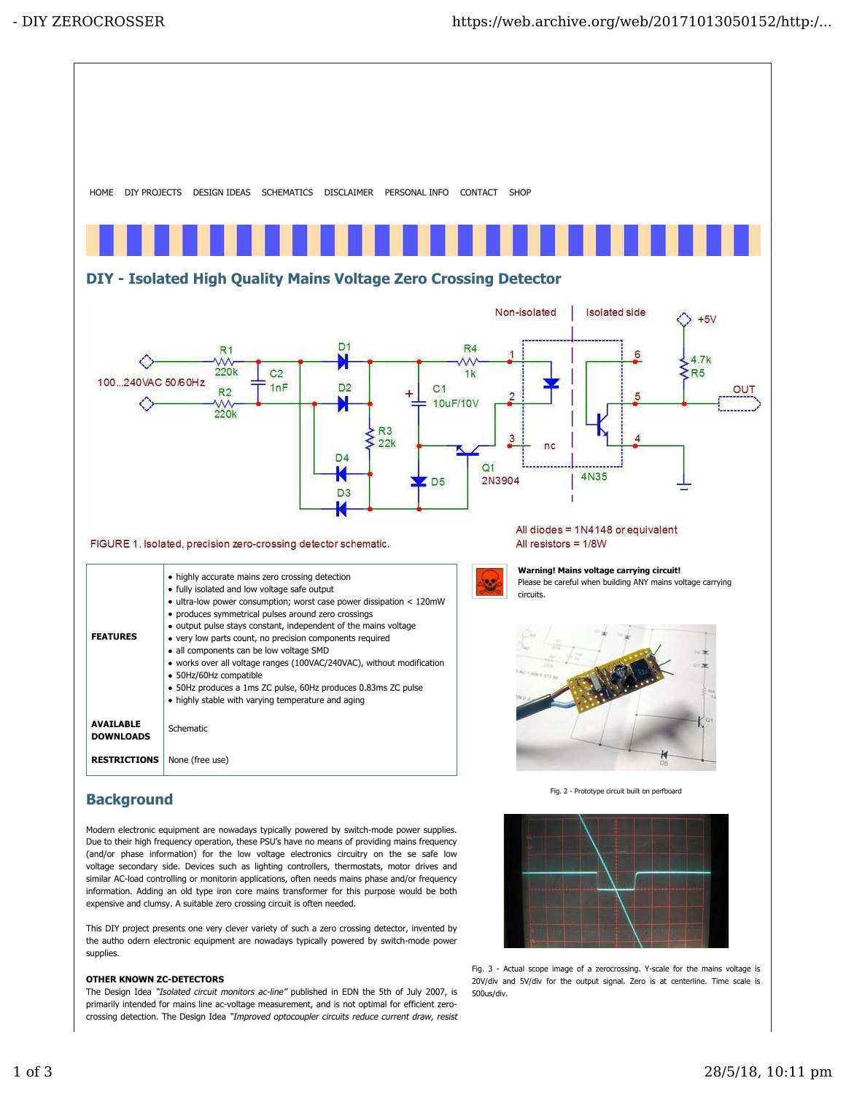

(and/or phase information) for the low voltage electronics circuitry on the se safe low voltage secondary side. Devices such as lighting controllers, thermostats, motor drives and similar AC-load controlling or monitorin applications, often needs mains phase and/or frequency information. Adding an old type iron core mains transformer for this purpose would be both expensive and clumsy. A suitable zero crossing circuit is often needed.

This DIY project presents one very clever variety of such a zero crossing detector, invented by the autho odern electronic equipment are nowadays typically powered by switch-mode power supplies.

# OTHER KNOWN ZC-DETECTORS

The Design Idea "Isolated circuit monitors ac-line" published in EDN the 5th of July 2007, is primarily intended for mains line ac-voltage measurement, and is not optimal for efficient zerocrossing detection. The Design Idea "Improved optocoupler circuits reduce current draw, resist

Fig. 3 - Actual scope image of a zerocrossing. Y-scale for the mains voltage is 20V/div and 5V/div for the output signal. Zero is at centerline. Time scale is

500us/div.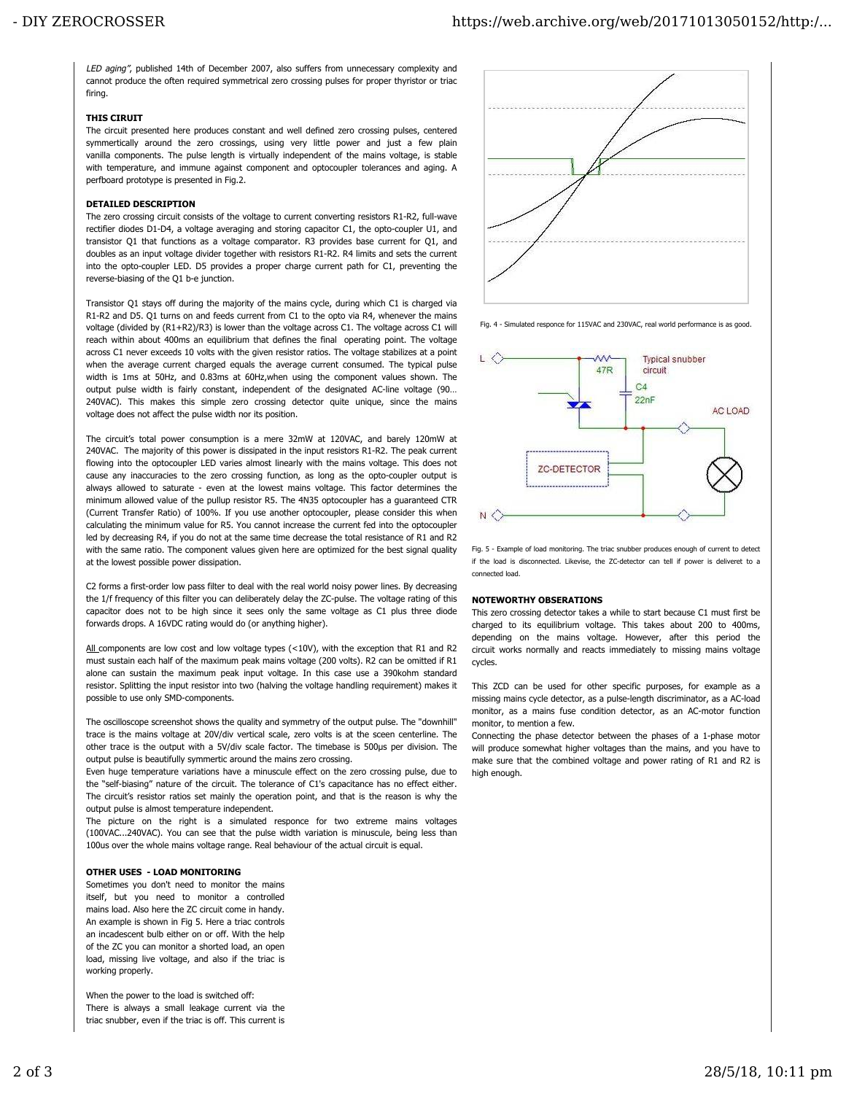LED aging", published 14th of December 2007, also suffers from unnecessary complexity and cannot produce the often required symmetrical zero crossing pulses for proper thyristor or triac firing.

#### THIS CIRUIT

The circuit presented here produces constant and well defined zero crossing pulses, centered symmertically around the zero crossings, using very little power and just a few plain vanilla components. The pulse length is virtually independent of the mains voltage, is stable with temperature, and immune against component and optocoupler tolerances and aging. A perfboard prototype is presented in Fig.2.

## DETAILED DESCRIPTION

The zero crossing circuit consists of the voltage to current converting resistors R1-R2, full-wave rectifier diodes D1-D4, a voltage averaging and storing capacitor C1, the opto-coupler U1, and transistor Q1 that functions as a voltage comparator. R3 provides base current for Q1, and doubles as an input voltage divider together with resistors R1-R2. R4 limits and sets the current into the opto-coupler LED. D5 provides a proper charge current path for C1, preventing the reverse-biasing of the Q1 b-e junction.

Transistor Q1 stays off during the majority of the mains cycle, during which C1 is charged via R1-R2 and D5. Q1 turns on and feeds current from C1 to the opto via R4, whenever the mains voltage (divided by (R1+R2)/R3) is lower than the voltage across C1. The voltage across C1 will reach within about 400ms an equilibrium that defines the final operating point. The voltage across C1 never exceeds 10 volts with the given resistor ratios. The voltage stabilizes at a point when the average current charged equals the average current consumed. The typical pulse width is 1ms at 50Hz, and 0.83ms at 60Hz,when using the component values shown. The output pulse width is fairly constant, independent of the designated AC-line voltage (90… 240VAC). This makes this simple zero crossing detector quite unique, since the mains voltage does not affect the pulse width nor its position.

The circuit's total power consumption is a mere 32mW at 120VAC, and barely 120mW at 240VAC. The majority of this power is dissipated in the input resistors R1-R2. The peak current flowing into the optocoupler LED varies almost linearly with the mains voltage. This does not cause any inaccuracies to the zero crossing function, as long as the opto-coupler output is always allowed to saturate - even at the lowest mains voltage. This factor determines the minimum allowed value of the pullup resistor R5. The 4N35 optocoupler has a guaranteed CTR (Current Transfer Ratio) of 100%. If you use another optocoupler, please consider this when calculating the minimum value for R5. You cannot increase the current fed into the optocoupler led by decreasing R4, if you do not at the same time decrease the total resistance of R1 and R2 with the same ratio. The component values given here are optimized for the best signal quality at the lowest possible power dissipation.

C2 forms a first-order low pass filter to deal with the real world noisy power lines. By decreasing the 1/f frequency of this filter you can deliberately delay the ZC-pulse. The voltage rating of this capacitor does not to be high since it sees only the same voltage as C1 plus three diode forwards drops. A 16VDC rating would do (or anything higher).

All components are low cost and low voltage types (<10V), with the exception that R1 and R2 must sustain each half of the maximum peak mains voltage (200 volts). R2 can be omitted if R1 alone can sustain the maximum peak input voltage. In this case use a 390kohm standard resistor. Splitting the input resistor into two (halving the voltage handling requirement) makes it possible to use only SMD-components.

The oscilloscope screenshot shows the quality and symmetry of the output pulse. The "downhill" trace is the mains voltage at 20V/div vertical scale, zero volts is at the sceen centerline. The other trace is the output with a 5V/div scale factor. The timebase is 500µs per division. The output pulse is beautifully symmertic around the mains zero crossing.

Even huge temperature variations have a minuscule effect on the zero crossing pulse, due to the "self-biasing" nature of the circuit. The tolerance of C1's capacitance has no effect either. The circuit's resistor ratios set mainly the operation point, and that is the reason is why the output pulse is almost temperature independent.

The picture on the right is a simulated responce for two extreme mains voltages (100VAC...240VAC). You can see that the pulse width variation is minuscule, being less than 100us over the whole mains voltage range. Real behaviour of the actual circuit is equal.

## OTHER USES - LOAD MONITORING

Sometimes you don't need to monitor the mains itself, but you need to monitor a controlled mains load. Also here the ZC circuit come in handy. An example is shown in Fig 5. Here a triac controls an incadescent bulb either on or off. With the help of the ZC you can monitor a shorted load, an open load, missing live voltage, and also if the triac is working properly.

When the power to the load is switched off: There is always a small leakage current via the triac snubber, even if the triac is off. This current is



Fig. 4 - Simulated responce for 115VAC and 230VAC, real world performance is as good.



Fig. 5 - Example of load monitoring. The triac snubber produces enough of current to detect if the load is disconnected. Likevise, the ZC-detector can tell if power is deliveret to a connected load.

#### NOTEWORTHY OBSERATIONS

This zero crossing detector takes a while to start because C1 must first be charged to its equilibrium voltage. This takes about 200 to 400ms, depending on the mains voltage. However, after this period the circuit works normally and reacts immediately to missing mains voltage cycles.

This ZCD can be used for other specific purposes, for example as a missing mains cycle detector, as a pulse-length discriminator, as a AC-load monitor, as a mains fuse condition detector, as an AC-motor function monitor, to mention a few.

Connecting the phase detector between the phases of a 1-phase motor will produce somewhat higher voltages than the mains, and you have to make sure that the combined voltage and power rating of R1 and R2 is high enough.